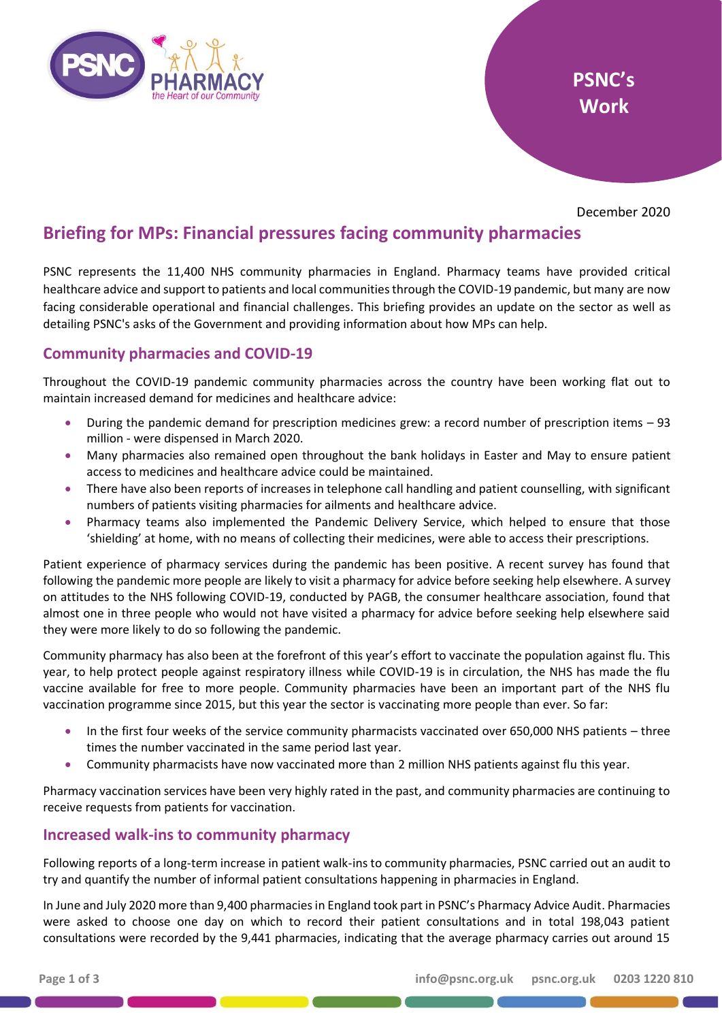

December 2020

# **Briefing for MPs: Financial pressures facing community pharmacies**

PSNC represents the 11,400 NHS community pharmacies in England. Pharmacy teams have provided critical healthcare advice and support to patients and local communities through the COVID-19 pandemic, but many are now facing considerable operational and financial challenges. This briefing provides an update on the sector as well as detailing PSNC's asks of the Government and providing information about how MPs can help.

## **Community pharmacies and COVID-19**

Throughout the COVID-19 pandemic community pharmacies across the country have been working flat out to maintain increased demand for medicines and healthcare advice:

- During the pandemic demand for prescription medicines grew: a record number of prescription items 93 million - were dispensed in March 2020.
- Many pharmacies also remained open throughout the bank holidays in Easter and May to ensure patient access to medicines and healthcare advice could be maintained.
- There have also been reports of increases in telephone call handling and patient counselling, with significant numbers of patients visiting pharmacies for ailments and healthcare advice.
- Pharmacy teams also implemented the Pandemic Delivery Service, which helped to ensure that those 'shielding' at home, with no means of collecting their medicines, were able to access their prescriptions.

Patient experience of pharmacy services during the pandemic has been positive. A recent survey has found that following the pandemic more people are likely to visit a pharmacy for advice before seeking help elsewhere. A survey on attitudes to the NHS following COVID-19, conducted by PAGB, the consumer healthcare association, found that almost one in three people who would not have visited a pharmacy for advice before seeking help elsewhere said they were more likely to do so following the pandemic.

Community pharmacy has also been at the forefront of this year's effort to vaccinate the population against flu. This year, to help protect people against respiratory illness while COVID-19 is in circulation, the NHS has made the flu vaccine available for free to more people. Community pharmacies have been an important part of the NHS flu vaccination programme since 2015, but this year the sector is vaccinating more people than ever. So far:

- In the first four weeks of the service community pharmacists vaccinated over 650,000 NHS patients three times the number vaccinated in the same period last year.
- Community pharmacists have now vaccinated more than 2 million NHS patients against flu this year.

Pharmacy vaccination services have been very highly rated in the past, and community pharmacies are continuing to receive requests from patients for vaccination.

### **Increased walk-ins to community pharmacy**

Following reports of a long-term increase in patient walk-ins to community pharmacies, PSNC carried out an audit to try and quantify the number of informal patient consultations happening in pharmacies in England.

In June and July 2020 more than 9,400 pharmacies in England took part in PSNC's Pharmacy Advice Audit. Pharmacies were asked to choose one day on which to record their patient consultations and in total 198,043 patient consultations were recorded by the 9,441 pharmacies, indicating that the average pharmacy carries out around 15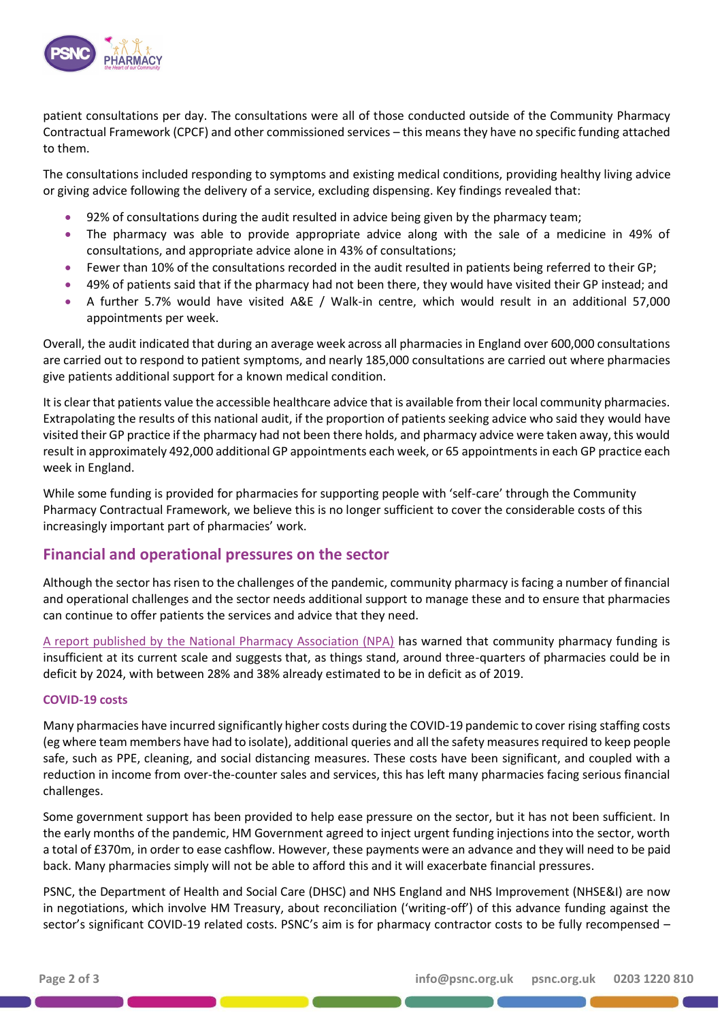

patient consultations per day. The consultations were all of those conducted outside of the Community Pharmacy Contractual Framework (CPCF) and other commissioned services – this means they have no specific funding attached to them.

The consultations included responding to symptoms and existing medical conditions, providing healthy living advice or giving advice following the delivery of a service, excluding dispensing. Key findings revealed that:

- 92% of consultations during the audit resulted in advice being given by the pharmacy team;
- The pharmacy was able to provide appropriate advice along with the sale of a medicine in 49% of consultations, and appropriate advice alone in 43% of consultations;
- Fewer than 10% of the consultations recorded in the audit resulted in patients being referred to their GP;
- 49% of patients said that if the pharmacy had not been there, they would have visited their GP instead; and
- A further 5.7% would have visited A&E / Walk-in centre, which would result in an additional 57,000 appointments per week.

Overall, the audit indicated that during an average week across all pharmacies in England over 600,000 consultations are carried out to respond to patient symptoms, and nearly 185,000 consultations are carried out where pharmacies give patients additional support for a known medical condition.

It is clear that patients value the accessible healthcare advice that is available from their local community pharmacies. Extrapolating the results of this national audit, if the proportion of patients seeking advice who said they would have visited their GP practice if the pharmacy had not been there holds, and pharmacy advice were taken away, this would result in approximately 492,000 additional GP appointments each week, or 65 appointments in each GP practice each week in England.

While some funding is provided for pharmacies for supporting people with 'self-care' through the Community Pharmacy Contractual Framework, we believe this is no longer sufficient to cover the considerable costs of this increasingly important part of pharmacies' work.

### **Financial and operational pressures on the sector**

Although the sector has risen to the challenges of the pandemic, community pharmacy is facing a number of financial and operational challenges and the sector needs additional support to manage these and to ensure that pharmacies can continue to offer patients the services and advice that they need.

[A report published by the National Pharmacy Association \(NPA\)](https://www.npa.co.uk/wp-content/uploads/2020/09/EY-NPA-Impacts-of-current-funding-policy-and-economic-environment-on-pharmacy-in-England-FINAL.pdf) has warned that community pharmacy funding is insufficient at its current scale and suggests that, as things stand, around three-quarters of pharmacies could be in deficit by 2024, with between 28% and 38% already estimated to be in deficit as of 2019.

#### **COVID-19 costs**

Many pharmacies have incurred significantly higher costs during the COVID-19 pandemic to cover rising staffing costs (eg where team members have had to isolate), additional queries and all the safety measures required to keep people safe, such as PPE, cleaning, and social distancing measures. These costs have been significant, and coupled with a reduction in income from over-the-counter sales and services, this has left many pharmacies facing serious financial challenges.

Some government support has been provided to help ease pressure on the sector, but it has not been sufficient. In the early months of the pandemic, HM Government agreed to inject urgent funding injections into the sector, worth a total of £370m, in order to ease cashflow. However, these payments were an advance and they will need to be paid back. Many pharmacies simply will not be able to afford this and it will exacerbate financial pressures.

PSNC, the Department of Health and Social Care (DHSC) and NHS England and NHS Improvement (NHSE&I) are now in negotiations, which involve HM Treasury, about reconciliation ('writing-off') of this advance funding against the sector's significant COVID-19 related costs. PSNC's aim is for pharmacy contractor costs to be fully recompensed –